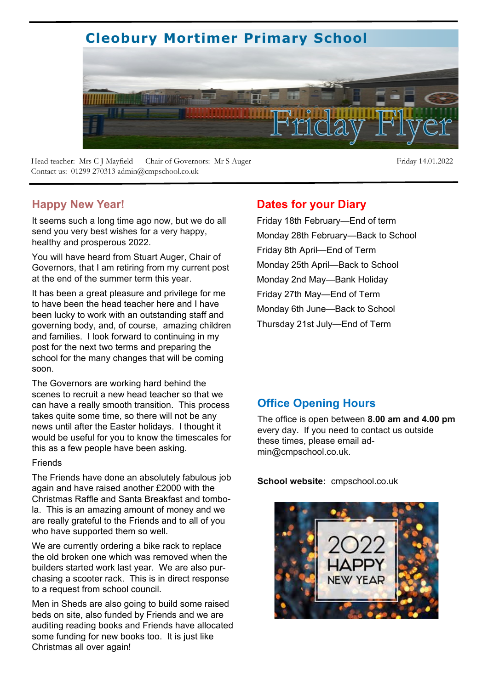# **Cleobury Mortimer Primary School**



Head teacher: Mrs C J Mayfield Chair of Governors: Mr S Auger Friday 14.01.2022 Contact us: 01299 270313 admin@cmpschool.co.uk

#### **Happy New Year!**

It seems such a long time ago now, but we do all send you very best wishes for a very happy, healthy and prosperous 2022.

You will have heard from Stuart Auger, Chair of Governors, that I am retiring from my current post at the end of the summer term this year.

It has been a great pleasure and privilege for me to have been the head teacher here and I have been lucky to work with an outstanding staff and governing body, and, of course, amazing children and families. I look forward to continuing in my post for the next two terms and preparing the school for the many changes that will be coming soon.

The Governors are working hard behind the scenes to recruit a new head teacher so that we can have a really smooth transition. This process takes quite some time, so there will not be any news until after the Easter holidays. I thought it would be useful for you to know the timescales for this as a few people have been asking.

#### Friends

The Friends have done an absolutely fabulous job again and have raised another £2000 with the Christmas Raffle and Santa Breakfast and tombola. This is an amazing amount of money and we are really grateful to the Friends and to all of you who have supported them so well.

We are currently ordering a bike rack to replace the old broken one which was removed when the builders started work last year. We are also purchasing a scooter rack. This is in direct response to a request from school council.

Men in Sheds are also going to build some raised beds on site, also funded by Friends and we are auditing reading books and Friends have allocated some funding for new books too. It is just like Christmas all over again!

#### **Dates for your Diary**

Friday 18th February—End of term Monday 28th February—Back to School Friday 8th April—End of Term Monday 25th April—Back to School Monday 2nd May—Bank Holiday Friday 27th May—End of Term Monday 6th June—Back to School Thursday 21st July—End of Term

#### **Office Opening Hours**

The office is open between **8.00 am and 4.00 pm**  every day. If you need to contact us outside these times, please email admin@cmpschool.co.uk.

**School website:** cmpschool.co.uk

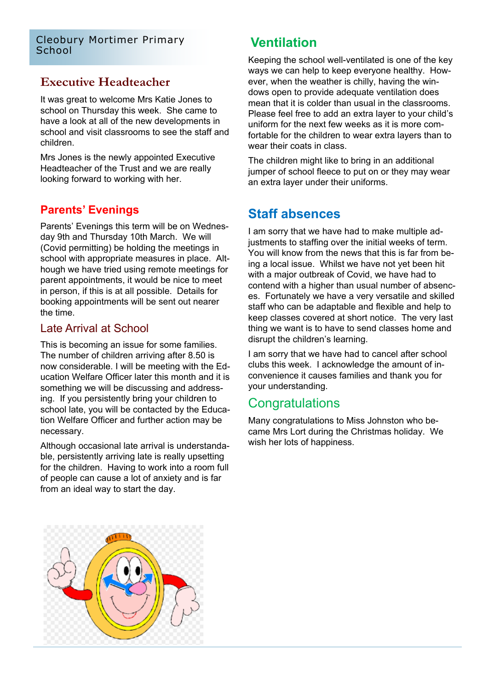#### **Executive Headteacher**

It was great to welcome Mrs Katie Jones to school on Thursday this week. She came to have a look at all of the new developments in school and visit classrooms to see the staff and children.

Mrs Jones is the newly appointed Executive Headteacher of the Trust and we are really looking forward to working with her.

### **Parents' Evenings**

Parents' Evenings this term will be on Wednesday 9th and Thursday 10th March. We will (Covid permitting) be holding the meetings in school with appropriate measures in place. Although we have tried using remote meetings for parent appointments, it would be nice to meet in person, if this is at all possible. Details for booking appointments will be sent out nearer the time.

#### Late Arrival at School

This is becoming an issue for some families. The number of children arriving after 8.50 is now considerable. I will be meeting with the Education Welfare Officer later this month and it is something we will be discussing and addressing. If you persistently bring your children to school late, you will be contacted by the Education Welfare Officer and further action may be necessary.

Although occasional late arrival is understandable, persistently arriving late is really upsetting for the children. Having to work into a room full of people can cause a lot of anxiety and is far from an ideal way to start the day.

Keeping the school well-ventilated is one of the key ways we can help to keep everyone healthy. However, when the weather is chilly, having the windows open to provide adequate ventilation does mean that it is colder than usual in the classrooms. Please feel free to add an extra layer to your child's uniform for the next few weeks as it is more comfortable for the children to wear extra layers than to wear their coats in class.

The children might like to bring in an additional jumper of school fleece to put on or they may wear an extra layer under their uniforms.

### **Staff absences**

I am sorry that we have had to make multiple adjustments to staffing over the initial weeks of term. You will know from the news that this is far from being a local issue. Whilst we have not yet been hit with a major outbreak of Covid, we have had to contend with a higher than usual number of absences. Fortunately we have a very versatile and skilled staff who can be adaptable and flexible and help to keep classes covered at short notice. The very last thing we want is to have to send classes home and disrupt the children's learning.

I am sorry that we have had to cancel after school clubs this week. I acknowledge the amount of inconvenience it causes families and thank you for your understanding.

#### **Congratulations**

Many congratulations to Miss Johnston who became Mrs Lort during the Christmas holiday. We wish her lots of happiness.